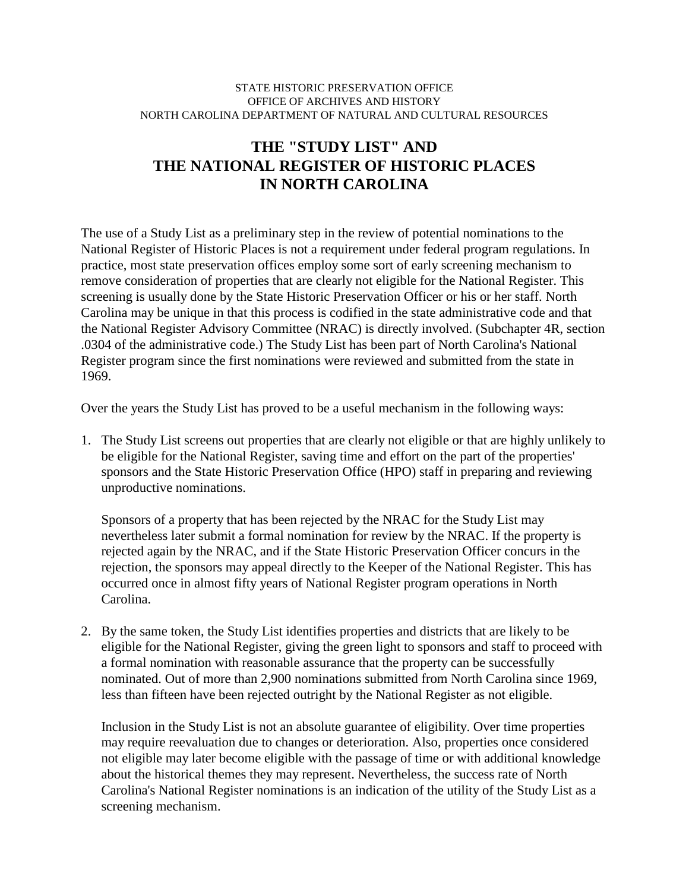## STATE HISTORIC PRESERVATION OFFICE OFFICE OF ARCHIVES AND HISTORY NORTH CAROLINA DEPARTMENT OF NATURAL AND CULTURAL RESOURCES

## **THE "STUDY LIST" AND THE NATIONAL REGISTER OF HISTORIC PLACES IN NORTH CAROLINA**

The use of a Study List as a preliminary step in the review of potential nominations to the National Register of Historic Places is not a requirement under federal program regulations. In practice, most state preservation offices employ some sort of early screening mechanism to remove consideration of properties that are clearly not eligible for the National Register. This screening is usually done by the State Historic Preservation Officer or his or her staff. North Carolina may be unique in that this process is codified in the state administrative code and that the National Register Advisory Committee (NRAC) is directly involved. (Subchapter 4R, section .0304 of the administrative code.) The Study List has been part of North Carolina's National Register program since the first nominations were reviewed and submitted from the state in 1969.

Over the years the Study List has proved to be a useful mechanism in the following ways:

1. The Study List screens out properties that are clearly not eligible or that are highly unlikely to be eligible for the National Register, saving time and effort on the part of the properties' sponsors and the State Historic Preservation Office (HPO) staff in preparing and reviewing unproductive nominations.

Sponsors of a property that has been rejected by the NRAC for the Study List may nevertheless later submit a formal nomination for review by the NRAC. If the property is rejected again by the NRAC, and if the State Historic Preservation Officer concurs in the rejection, the sponsors may appeal directly to the Keeper of the National Register. This has occurred once in almost fifty years of National Register program operations in North Carolina.

2. By the same token, the Study List identifies properties and districts that are likely to be eligible for the National Register, giving the green light to sponsors and staff to proceed with a formal nomination with reasonable assurance that the property can be successfully nominated. Out of more than 2,900 nominations submitted from North Carolina since 1969, less than fifteen have been rejected outright by the National Register as not eligible.

Inclusion in the Study List is not an absolute guarantee of eligibility. Over time properties may require reevaluation due to changes or deterioration. Also, properties once considered not eligible may later become eligible with the passage of time or with additional knowledge about the historical themes they may represent. Nevertheless, the success rate of North Carolina's National Register nominations is an indication of the utility of the Study List as a screening mechanism.